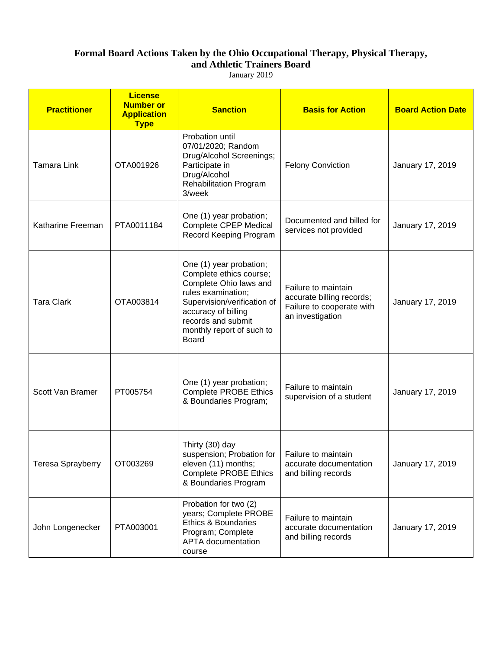January 2019

| <b>Practitioner</b>      | <b>License</b><br><b>Number or</b><br><b>Application</b><br><b>Type</b> | <b>Sanction</b>                                                                                                                                                                                                             | <b>Basis for Action</b>                                                                           | <b>Board Action Date</b> |
|--------------------------|-------------------------------------------------------------------------|-----------------------------------------------------------------------------------------------------------------------------------------------------------------------------------------------------------------------------|---------------------------------------------------------------------------------------------------|--------------------------|
| <b>Tamara Link</b>       | OTA001926                                                               | Probation until<br>07/01/2020; Random<br>Drug/Alcohol Screenings;<br>Participate in<br>Drug/Alcohol<br><b>Rehabilitation Program</b><br>3/week                                                                              | <b>Felony Conviction</b>                                                                          | January 17, 2019         |
| Katharine Freeman        | PTA0011184                                                              | One (1) year probation;<br><b>Complete CPEP Medical</b><br>Record Keeping Program                                                                                                                                           | Documented and billed for<br>services not provided                                                | January 17, 2019         |
| <b>Tara Clark</b>        | OTA003814                                                               | One (1) year probation;<br>Complete ethics course;<br>Complete Ohio laws and<br>rules examination;<br>Supervision/verification of<br>accuracy of billing<br>records and submit<br>monthly report of such to<br><b>Board</b> | Failure to maintain<br>accurate billing records;<br>Failure to cooperate with<br>an investigation | January 17, 2019         |
| Scott Van Bramer         | PT005754                                                                | One (1) year probation;<br><b>Complete PROBE Ethics</b><br>& Boundaries Program;                                                                                                                                            | Failure to maintain<br>supervision of a student                                                   | January 17, 2019         |
| <b>Teresa Sprayberry</b> | OT003269                                                                | Thirty (30) day<br>suspension; Probation for   Failure to maintain<br>eleven (11) months;<br><b>Complete PROBE Ethics</b><br>& Boundaries Program                                                                           | accurate documentation<br>and billing records                                                     | January 17, 2019         |
| John Longenecker         | PTA003001                                                               | Probation for two (2)<br>years; Complete PROBE<br>Ethics & Boundaries<br>Program; Complete<br><b>APTA</b> documentation<br>course                                                                                           | Failure to maintain<br>accurate documentation<br>and billing records                              | January 17, 2019         |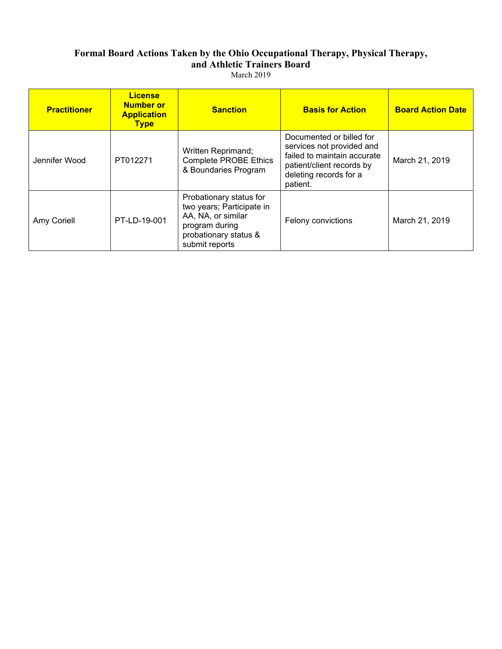| <b>Practitioner</b> | <b>License</b><br><b>Number or</b><br><b>Application</b><br><b>Type</b> | <b>Sanction</b>                                                                                                                         | <b>Basis for Action</b>                                                                                                                                 | <b>Board Action Date</b> |
|---------------------|-------------------------------------------------------------------------|-----------------------------------------------------------------------------------------------------------------------------------------|---------------------------------------------------------------------------------------------------------------------------------------------------------|--------------------------|
| Jennifer Wood       | PT012271                                                                | Written Reprimand;<br><b>Complete PROBE Ethics</b><br>& Boundaries Program                                                              | Documented or billed for<br>services not provided and<br>failed to maintain accurate<br>patient/client records by<br>deleting records for a<br>patient. | March 21, 2019           |
| Amy Coriell         | PT-LD-19-001                                                            | Probationary status for<br>two years; Participate in<br>AA, NA, or similar<br>program during<br>probationary status &<br>submit reports | Felony convictions                                                                                                                                      | March 21, 2019           |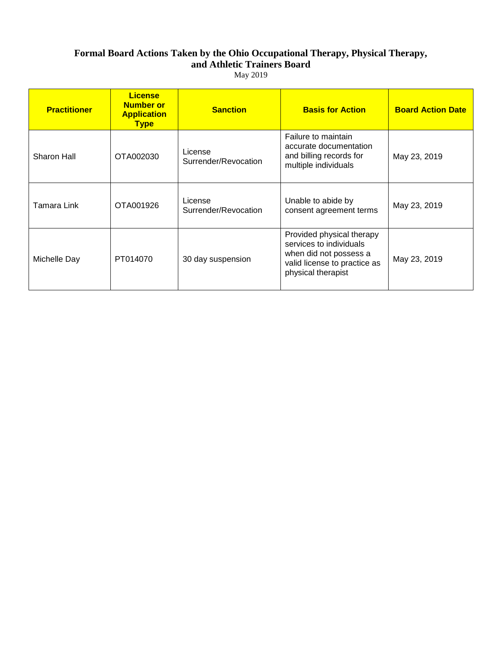| Mav | 2013 |
|-----|------|
|-----|------|

| <b>Practitioner</b> | <b>License</b><br><b>Number or</b><br><b>Application</b><br><b>Type</b> | <b>Sanction</b>                 | <b>Basis for Action</b>                                                                                                              | <b>Board Action Date</b> |
|---------------------|-------------------------------------------------------------------------|---------------------------------|--------------------------------------------------------------------------------------------------------------------------------------|--------------------------|
| Sharon Hall         | OTA002030                                                               | License<br>Surrender/Revocation | Failure to maintain<br>accurate documentation<br>and billing records for<br>multiple individuals                                     | May 23, 2019             |
| Tamara Link         | OTA001926                                                               | License<br>Surrender/Revocation | Unable to abide by<br>consent agreement terms                                                                                        | May 23, 2019             |
| Michelle Day        | PT014070                                                                | 30 day suspension               | Provided physical therapy<br>services to individuals<br>when did not possess a<br>valid license to practice as<br>physical therapist | May 23, 2019             |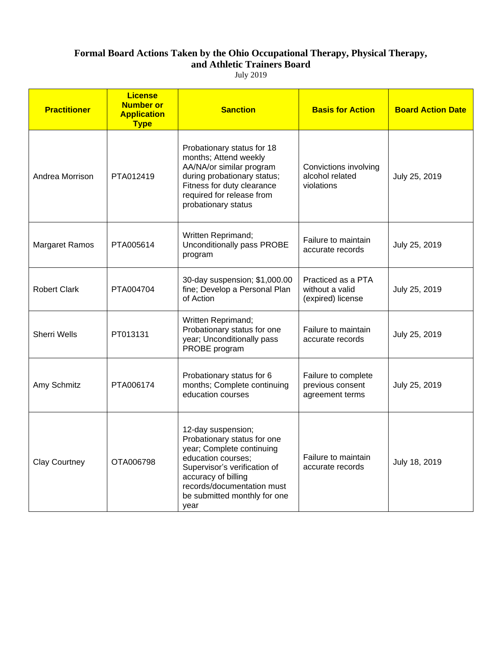July 2019

| <b>Practitioner</b>   | <b>License</b><br><b>Number or</b><br><b>Application</b><br><b>Type</b> | <b>Sanction</b>                                                                                                                                                                                                                   | <b>Basis for Action</b>                                    | <b>Board Action Date</b> |
|-----------------------|-------------------------------------------------------------------------|-----------------------------------------------------------------------------------------------------------------------------------------------------------------------------------------------------------------------------------|------------------------------------------------------------|--------------------------|
| Andrea Morrison       | PTA012419                                                               | Probationary status for 18<br>months; Attend weekly<br>AA/NA/or similar program<br>during probationary status;<br>Fitness for duty clearance<br>required for release from<br>probationary status                                  | Convictions involving<br>alcohol related<br>violations     | July 25, 2019            |
| <b>Margaret Ramos</b> | PTA005614                                                               | Written Reprimand;<br>Unconditionally pass PROBE<br>program                                                                                                                                                                       | Failure to maintain<br>accurate records                    | July 25, 2019            |
| <b>Robert Clark</b>   | PTA004704                                                               | 30-day suspension; \$1,000.00<br>fine; Develop a Personal Plan<br>of Action                                                                                                                                                       | Practiced as a PTA<br>without a valid<br>(expired) license | July 25, 2019            |
| <b>Sherri Wells</b>   | PT013131                                                                | Written Reprimand;<br>Probationary status for one<br>year; Unconditionally pass<br>PROBE program                                                                                                                                  | Failure to maintain<br>accurate records                    | July 25, 2019            |
| Amy Schmitz           | PTA006174                                                               | Probationary status for 6<br>months; Complete continuing<br>education courses                                                                                                                                                     | Failure to complete<br>previous consent<br>agreement terms | July 25, 2019            |
| <b>Clay Courtney</b>  | OTA006798                                                               | 12-day suspension;<br>Probationary status for one<br>year; Complete continuing<br>education courses;<br>Supervisor's verification of<br>accuracy of billing<br>records/documentation must<br>be submitted monthly for one<br>year | Failure to maintain<br>accurate records                    | July 18, 2019            |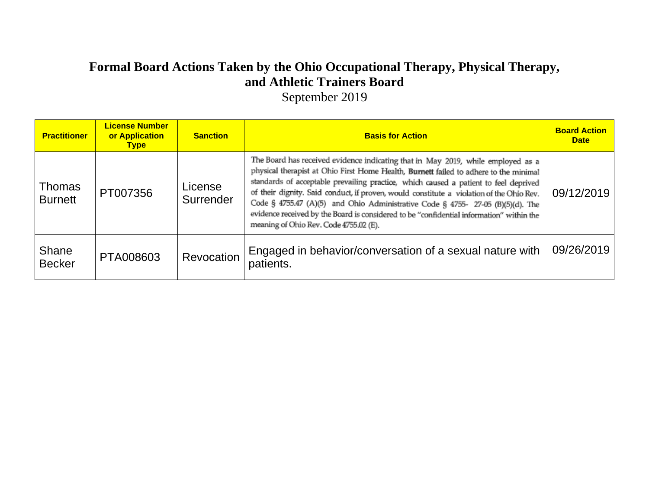September 2019

| <b>Practitioner</b>      | <b>License Number</b><br>or Application<br><b>Type</b> | <b>Sanction</b>      | <b>Basis for Action</b>                                                                                                                                                                                                                                                                                                                                                                                                                                                                                                                                                                | <b>Board Action</b><br><b>Date</b> |
|--------------------------|--------------------------------------------------------|----------------------|----------------------------------------------------------------------------------------------------------------------------------------------------------------------------------------------------------------------------------------------------------------------------------------------------------------------------------------------------------------------------------------------------------------------------------------------------------------------------------------------------------------------------------------------------------------------------------------|------------------------------------|
| Thomas<br><b>Burnett</b> | PT007356                                               | License<br>Surrender | The Board has received evidence indicating that in May 2019, while employed as a<br>physical therapist at Ohio First Home Health, Burnett failed to adhere to the minimal<br>standards of acceptable prevailing practice, which caused a patient to feel deprived<br>of their dignity. Said conduct, if proven, would constitute a violation of the Ohio Rev.<br>Code § 4755.47 (A)(5) and Ohio Administrative Code § 4755- 27-05 (B)(5)(d). The<br>evidence received by the Board is considered to be "confidential information" within the<br>meaning of Ohio Rev. Code 4755.02 (E). | 09/12/2019                         |
| Shane<br><b>Becker</b>   | PTA008603                                              | Revocation           | Engaged in behavior/conversation of a sexual nature with<br>patients.                                                                                                                                                                                                                                                                                                                                                                                                                                                                                                                  | 09/26/2019                         |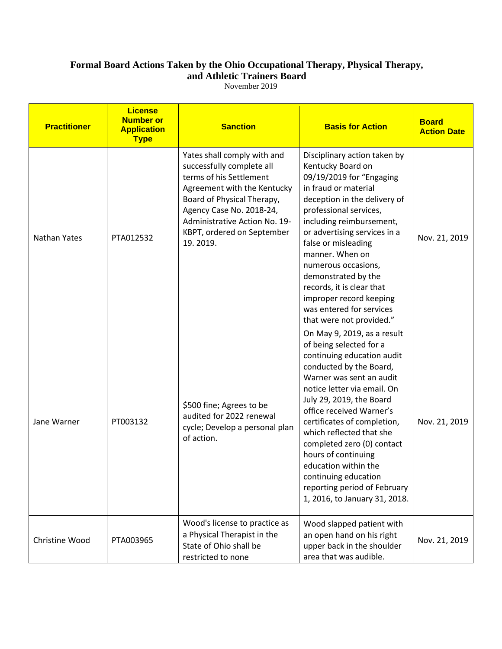November 2019

| <b>Practitioner</b> | <b>License</b><br><b>Number or</b><br><b>Application</b><br><b>Type</b> | <b>Sanction</b>                                                                                                                                                                                                                                         | <b>Basis for Action</b>                                                                                                                                                                                                                                                                                                                                                                                                                                             | <b>Board</b><br><b>Action Date</b> |
|---------------------|-------------------------------------------------------------------------|---------------------------------------------------------------------------------------------------------------------------------------------------------------------------------------------------------------------------------------------------------|---------------------------------------------------------------------------------------------------------------------------------------------------------------------------------------------------------------------------------------------------------------------------------------------------------------------------------------------------------------------------------------------------------------------------------------------------------------------|------------------------------------|
| <b>Nathan Yates</b> | PTA012532                                                               | Yates shall comply with and<br>successfully complete all<br>terms of his Settlement<br>Agreement with the Kentucky<br>Board of Physical Therapy,<br>Agency Case No. 2018-24,<br>Administrative Action No. 19-<br>KBPT, ordered on September<br>19.2019. | Disciplinary action taken by<br>Kentucky Board on<br>09/19/2019 for "Engaging<br>in fraud or material<br>deception in the delivery of<br>professional services,<br>including reimbursement,<br>or advertising services in a<br>false or misleading<br>manner. When on<br>numerous occasions,<br>demonstrated by the<br>records, it is clear that<br>improper record keeping<br>was entered for services<br>that were not provided."                                 | Nov. 21, 2019                      |
| Jane Warner         | PT003132                                                                | \$500 fine; Agrees to be<br>audited for 2022 renewal<br>cycle; Develop a personal plan<br>of action.                                                                                                                                                    | On May 9, 2019, as a result<br>of being selected for a<br>continuing education audit<br>conducted by the Board,<br>Warner was sent an audit<br>notice letter via email. On<br>July 29, 2019, the Board<br>office received Warner's<br>certificates of completion,<br>which reflected that she<br>completed zero (0) contact<br>hours of continuing<br>education within the<br>continuing education<br>reporting period of February<br>1, 2016, to January 31, 2018. | Nov. 21, 2019                      |
| Christine Wood      | PTA003965                                                               | Wood's license to practice as<br>a Physical Therapist in the<br>State of Ohio shall be<br>restricted to none                                                                                                                                            | Wood slapped patient with<br>an open hand on his right<br>upper back in the shoulder<br>area that was audible.                                                                                                                                                                                                                                                                                                                                                      | Nov. 21, 2019                      |